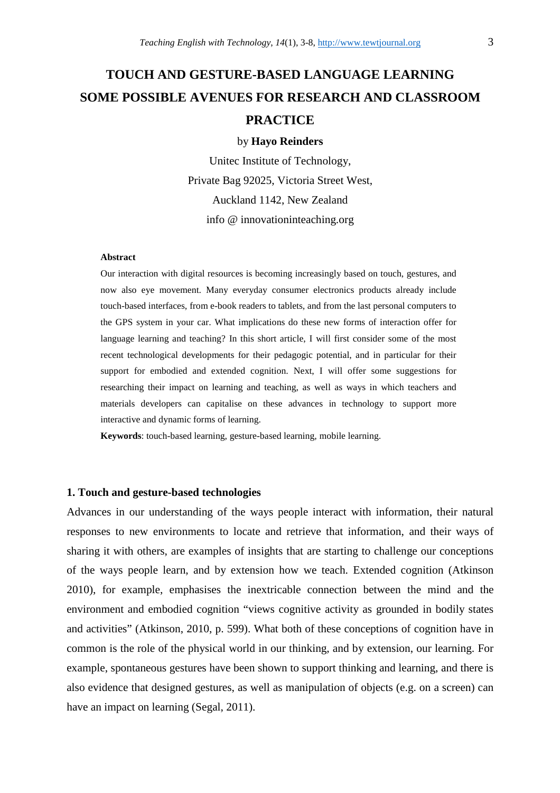# **TOUCH AND GESTURE-BASED LANGUAGE LEARNING SOME POSSIBLE AVENUES FOR RESEARCH AND CLASSROOM PRACTICE**

#### by **Hayo Reinders**

Unitec Institute of Technology, Private Bag 92025, Victoria Street West, Auckland 1142, New Zealand info @ innovationinteaching.org

#### **Abstract**

Our interaction with digital resources is becoming increasingly based on touch, gestures, and now also eye movement. Many everyday consumer electronics products already include touch-based interfaces, from e-book readers to tablets, and from the last personal computers to the GPS system in your car. What implications do these new forms of interaction offer for language learning and teaching? In this short article, I will first consider some of the most recent technological developments for their pedagogic potential, and in particular for their support for embodied and extended cognition. Next, I will offer some suggestions for researching their impact on learning and teaching, as well as ways in which teachers and materials developers can capitalise on these advances in technology to support more interactive and dynamic forms of learning.

**Keywords**: touch-based learning, gesture-based learning, mobile learning.

## **1. Touch and gesture-based technologies**

Advances in our understanding of the ways people interact with information, their natural responses to new environments to locate and retrieve that information, and their ways of sharing it with others, are examples of insights that are starting to challenge our conceptions of the ways people learn, and by extension how we teach. Extended cognition (Atkinson 2010), for example, emphasises the inextricable connection between the mind and the environment and embodied cognition "views cognitive activity as grounded in bodily states and activities" (Atkinson, 2010, p. 599). What both of these conceptions of cognition have in common is the role of the physical world in our thinking, and by extension, our learning. For example, spontaneous gestures have been shown to support thinking and learning, and there is also evidence that designed gestures, as well as manipulation of objects (e.g. on a screen) can have an impact on learning (Segal, 2011).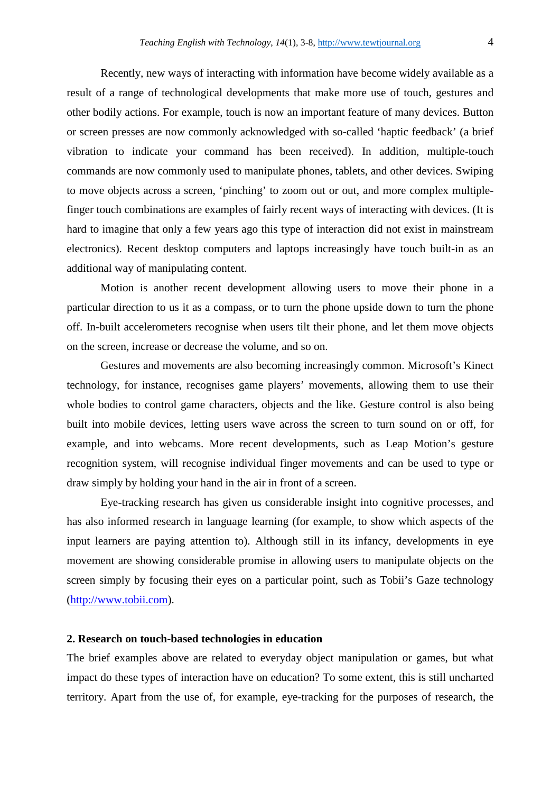Recently, new ways of interacting with information have become widely available as a result of a range of technological developments that make more use of touch, gestures and other bodily actions. For example, touch is now an important feature of many devices. Button or screen presses are now commonly acknowledged with so-called 'haptic feedback' (a brief vibration to indicate your command has been received). In addition, multiple-touch commands are now commonly used to manipulate phones, tablets, and other devices. Swiping to move objects across a screen, 'pinching' to zoom out or out, and more complex multiplefinger touch combinations are examples of fairly recent ways of interacting with devices. (It is hard to imagine that only a few years ago this type of interaction did not exist in mainstream electronics). Recent desktop computers and laptops increasingly have touch built-in as an additional way of manipulating content.

Motion is another recent development allowing users to move their phone in a particular direction to us it as a compass, or to turn the phone upside down to turn the phone off. In-built accelerometers recognise when users tilt their phone, and let them move objects on the screen, increase or decrease the volume, and so on.

Gestures and movements are also becoming increasingly common. Microsoft's Kinect technology, for instance, recognises game players' movements, allowing them to use their whole bodies to control game characters, objects and the like. Gesture control is also being built into mobile devices, letting users wave across the screen to turn sound on or off, for example, and into webcams. More recent developments, such as Leap Motion's gesture recognition system, will recognise individual finger movements and can be used to type or draw simply by holding your hand in the air in front of a screen.

Eye-tracking research has given us considerable insight into cognitive processes, and has also informed research in language learning (for example, to show which aspects of the input learners are paying attention to). Although still in its infancy, developments in eye movement are showing considerable promise in allowing users to manipulate objects on the screen simply by focusing their eyes on a particular point, such as Tobii's Gaze technology (http://www.tobii.com).

## **2. Research on touch-based technologies in education**

The brief examples above are related to everyday object manipulation or games, but what impact do these types of interaction have on education? To some extent, this is still uncharted territory. Apart from the use of, for example, eye-tracking for the purposes of research, the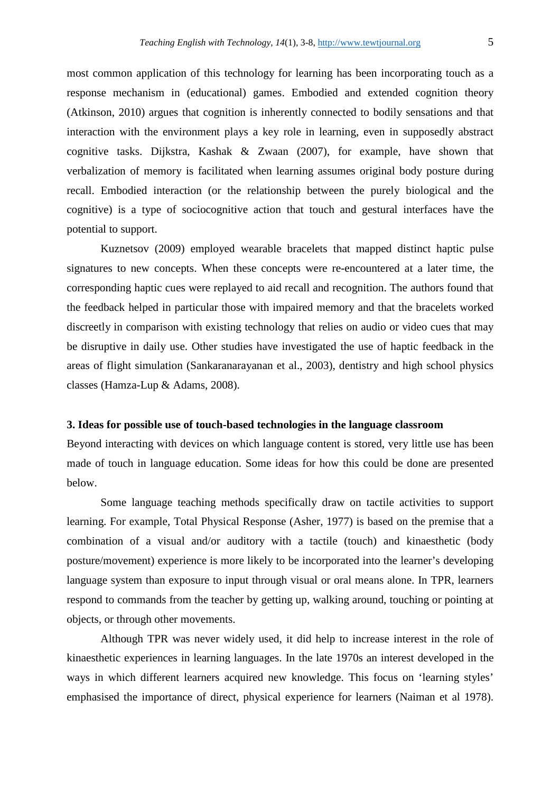most common application of this technology for learning has been incorporating touch as a response mechanism in (educational) games. Embodied and extended cognition theory (Atkinson, 2010) argues that cognition is inherently connected to bodily sensations and that interaction with the environment plays a key role in learning, even in supposedly abstract cognitive tasks. Dijkstra, Kashak & Zwaan (2007), for example, have shown that verbalization of memory is facilitated when learning assumes original body posture during recall. Embodied interaction (or the relationship between the purely biological and the cognitive) is a type of sociocognitive action that touch and gestural interfaces have the potential to support.

Kuznetsov (2009) employed wearable bracelets that mapped distinct haptic pulse signatures to new concepts. When these concepts were re-encountered at a later time, the corresponding haptic cues were replayed to aid recall and recognition. The authors found that the feedback helped in particular those with impaired memory and that the bracelets worked discreetly in comparison with existing technology that relies on audio or video cues that may be disruptive in daily use. Other studies have investigated the use of haptic feedback in the areas of flight simulation (Sankaranarayanan et al., 2003), dentistry and high school physics classes (Hamza-Lup & Adams, 2008).

## **3. Ideas for possible use of touch-based technologies in the language classroom**

Beyond interacting with devices on which language content is stored, very little use has been made of touch in language education. Some ideas for how this could be done are presented below.

Some language teaching methods specifically draw on tactile activities to support learning. For example, Total Physical Response (Asher, 1977) is based on the premise that a combination of a visual and/or auditory with a tactile (touch) and kinaesthetic (body posture/movement) experience is more likely to be incorporated into the learner's developing language system than exposure to input through visual or oral means alone. In TPR, learners respond to commands from the teacher by getting up, walking around, touching or pointing at objects, or through other movements.

Although TPR was never widely used, it did help to increase interest in the role of kinaesthetic experiences in learning languages. In the late 1970s an interest developed in the ways in which different learners acquired new knowledge. This focus on 'learning styles' emphasised the importance of direct, physical experience for learners (Naiman et al 1978).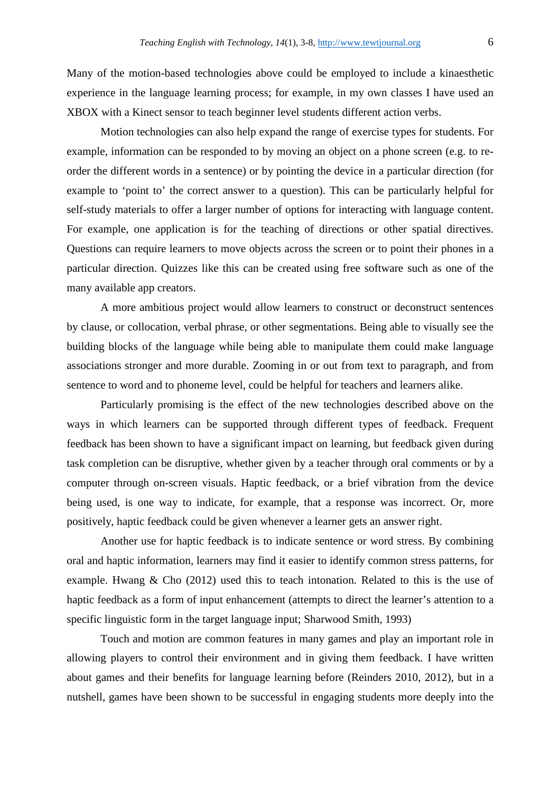Many of the motion-based technologies above could be employed to include a kinaesthetic experience in the language learning process; for example, in my own classes I have used an XBOX with a Kinect sensor to teach beginner level students different action verbs.

Motion technologies can also help expand the range of exercise types for students. For example, information can be responded to by moving an object on a phone screen (e.g. to reorder the different words in a sentence) or by pointing the device in a particular direction (for example to 'point to' the correct answer to a question). This can be particularly helpful for self-study materials to offer a larger number of options for interacting with language content. For example, one application is for the teaching of directions or other spatial directives. Questions can require learners to move objects across the screen or to point their phones in a particular direction. Quizzes like this can be created using free software such as one of the many available app creators.

A more ambitious project would allow learners to construct or deconstruct sentences by clause, or collocation, verbal phrase, or other segmentations. Being able to visually see the building blocks of the language while being able to manipulate them could make language associations stronger and more durable. Zooming in or out from text to paragraph, and from sentence to word and to phoneme level, could be helpful for teachers and learners alike.

Particularly promising is the effect of the new technologies described above on the ways in which learners can be supported through different types of feedback. Frequent feedback has been shown to have a significant impact on learning, but feedback given during task completion can be disruptive, whether given by a teacher through oral comments or by a computer through on-screen visuals. Haptic feedback, or a brief vibration from the device being used, is one way to indicate, for example, that a response was incorrect. Or, more positively, haptic feedback could be given whenever a learner gets an answer right.

Another use for haptic feedback is to indicate sentence or word stress. By combining oral and haptic information, learners may find it easier to identify common stress patterns, for example. Hwang & Cho (2012) used this to teach intonation. Related to this is the use of haptic feedback as a form of input enhancement (attempts to direct the learner's attention to a specific linguistic form in the target language input; Sharwood Smith, 1993)

Touch and motion are common features in many games and play an important role in allowing players to control their environment and in giving them feedback. I have written about games and their benefits for language learning before (Reinders 2010, 2012), but in a nutshell, games have been shown to be successful in engaging students more deeply into the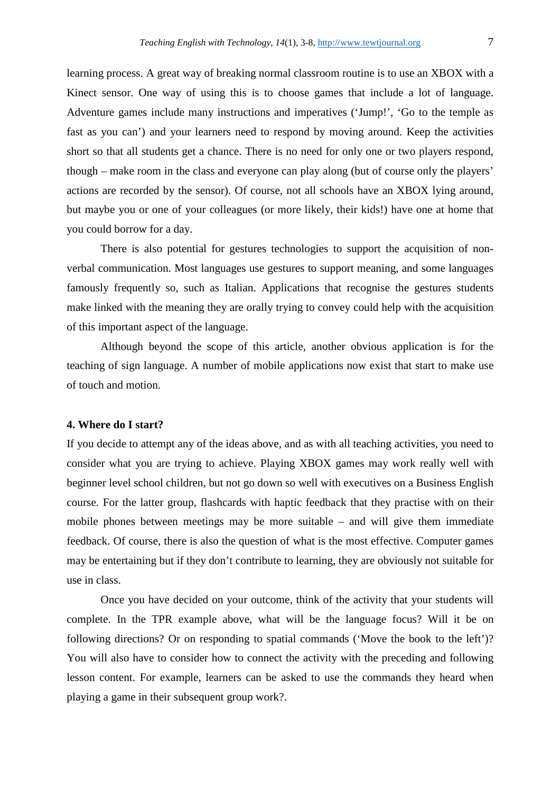learning process. A great way of breaking normal classroom routine is to use an XBOX with a Kinect sensor. One way of using this is to choose games that include a lot of language. Adventure games include many instructions and imperatives ('Jump!', 'Go to the temple as fast as you can') and your learners need to respond by moving around. Keep the activities short so that all students get a chance. There is no need for only one or two players respond, though – make room in the class and everyone can play along (but of course only the players' actions are recorded by the sensor). Of course, not all schools have an XBOX lying around, but maybe you or one of your colleagues (or more likely, their kids!) have one at home that you could borrow for a day.

There is also potential for gestures technologies to support the acquisition of nonverbal communication. Most languages use gestures to support meaning, and some languages famously frequently so, such as Italian. Applications that recognise the gestures students make linked with the meaning they are orally trying to convey could help with the acquisition of this important aspect of the language.

Although beyond the scope of this article, another obvious application is for the teaching of sign language. A number of mobile applications now exist that start to make use of touch and motion.

## **4. Where do I start?**

If you decide to attempt any of the ideas above, and as with all teaching activities, you need to consider what you are trying to achieve. Playing XBOX games may work really well with beginner level school children, but not go down so well with executives on a Business English course. For the latter group, flashcards with haptic feedback that they practise with on their mobile phones between meetings may be more suitable – and will give them immediate feedback. Of course, there is also the question of what is the most effective. Computer games may be entertaining but if they don't contribute to learning, they are obviously not suitable for use in class.

Once you have decided on your outcome, think of the activity that your students will complete. In the TPR example above, what will be the language focus? Will it be on following directions? Or on responding to spatial commands ('Move the book to the left')? You will also have to consider how to connect the activity with the preceding and following lesson content. For example, learners can be asked to use the commands they heard when playing a game in their subsequent group work?.